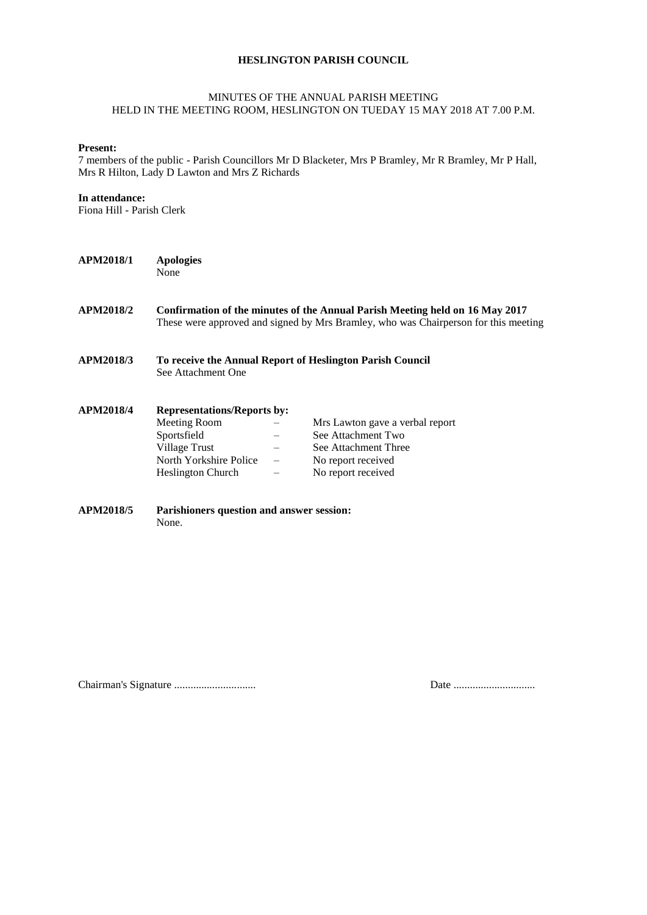## **HESLINGTON PARISH COUNCIL**

## MINUTES OF THE ANNUAL PARISH MEETING HELD IN THE MEETING ROOM, HESLINGTON ON TUEDAY 15 MAY 2018 AT 7.00 P.M.

#### **Present:**

7 members of the public - Parish Councillors Mr D Blacketer, Mrs P Bramley, Mr R Bramley, Mr P Hall, Mrs R Hilton, Lady D Lawton and Mrs Z Richards

### **In attendance:**

Fiona Hill - Parish Clerk

| <b>APM2018/1</b> | <b>Apologies</b><br>None                                                                                                                                            |  |                                                           |
|------------------|---------------------------------------------------------------------------------------------------------------------------------------------------------------------|--|-----------------------------------------------------------|
| APM2018/2        | Confirmation of the minutes of the Annual Parish Meeting held on 16 May 2017<br>These were approved and signed by Mrs Bramley, who was Chairperson for this meeting |  |                                                           |
| APM2018/3        | See Attachment One                                                                                                                                                  |  | To receive the Annual Report of Heslington Parish Council |
| <b>APM2018/4</b> | <b>Representations/Reports by:</b>                                                                                                                                  |  |                                                           |
|                  | Meeting Room                                                                                                                                                        |  | Mrs Lawton gave a verbal report                           |
|                  | Sportsfield                                                                                                                                                         |  | See Attachment Two                                        |
|                  | Village Trust                                                                                                                                                       |  | See Attachment Three                                      |
|                  | North Yorkshire Police                                                                                                                                              |  | No report received                                        |
|                  | <b>Heslington Church</b>                                                                                                                                            |  | No report received                                        |
| <b>APM2018/5</b> | Parishioners question and answer session:                                                                                                                           |  |                                                           |

Chairman's Signature .............................. Date ..............................

None.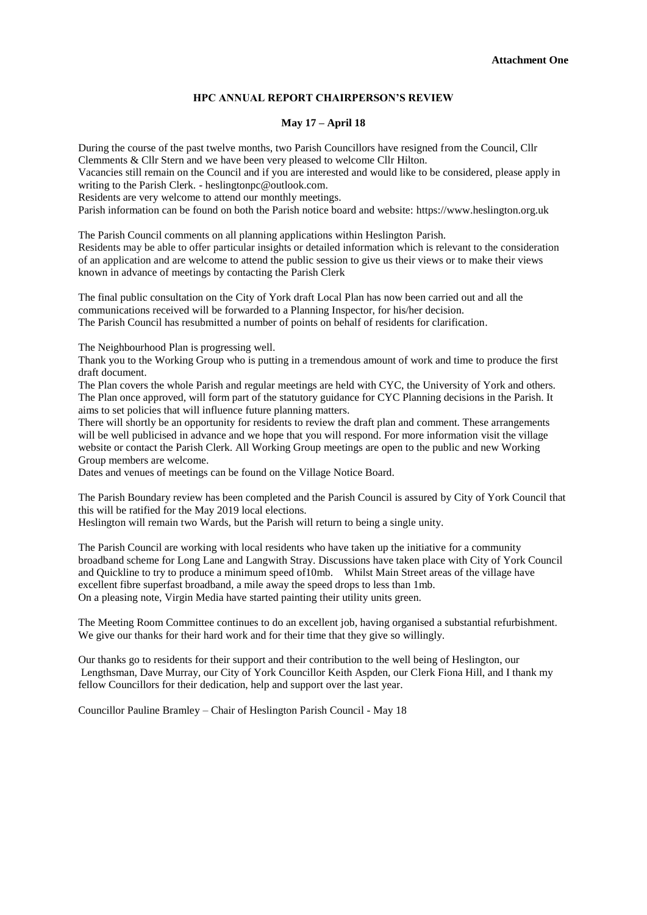### **HPC ANNUAL REPORT CHAIRPERSON'S REVIEW**

#### **May 17 – April 18**

During the course of the past twelve months, two Parish Councillors have resigned from the Council, Cllr Clemments & Cllr Stern and we have been very pleased to welcome Cllr Hilton.

Vacancies still remain on the Council and if you are interested and would like to be considered, please apply in writing to the Parish Clerk. - heslingtonpc@outlook.com.

Residents are very welcome to attend our monthly meetings.

Parish information can be found on both the Parish notice board and website: https://www.heslington.org.uk

The Parish Council comments on all planning applications within Heslington Parish. Residents may be able to offer particular insights or detailed information which is relevant to the consideration of an application and are welcome to attend the public session to give us their views or to make their views known in advance of meetings by contacting the Parish Clerk

The final public consultation on the City of York draft Local Plan has now been carried out and all the communications received will be forwarded to a Planning Inspector, for his/her decision. The Parish Council has resubmitted a number of points on behalf of residents for clarification.

The Neighbourhood Plan is progressing well.

Thank you to the Working Group who is putting in a tremendous amount of work and time to produce the first draft document.

The Plan covers the whole Parish and regular meetings are held with CYC, the University of York and others. The Plan once approved, will form part of the statutory guidance for CYC Planning decisions in the Parish. It aims to set policies that will influence future planning matters.

There will shortly be an opportunity for residents to review the draft plan and comment. These arrangements will be well publicised in advance and we hope that you will respond. For more information visit the village website or contact the Parish Clerk. All Working Group meetings are open to the public and new Working Group members are welcome.

Dates and venues of meetings can be found on the Village Notice Board.

The Parish Boundary review has been completed and the Parish Council is assured by City of York Council that this will be ratified for the May 2019 local elections.

Heslington will remain two Wards, but the Parish will return to being a single unity.

The Parish Council are working with local residents who have taken up the initiative for a community broadband scheme for Long Lane and Langwith Stray. Discussions have taken place with City of York Council and Quickline to try to produce a minimum speed of10mb. Whilst Main Street areas of the village have excellent fibre superfast broadband, a mile away the speed drops to less than 1mb. On a pleasing note, Virgin Media have started painting their utility units green.

The Meeting Room Committee continues to do an excellent job, having organised a substantial refurbishment. We give our thanks for their hard work and for their time that they give so willingly.

Our thanks go to residents for their support and their contribution to the well being of Heslington, our Lengthsman, Dave Murray, our City of York Councillor Keith Aspden, our Clerk Fiona Hill, and I thank my fellow Councillors for their dedication, help and support over the last year.

Councillor Pauline Bramley – Chair of Heslington Parish Council - May 18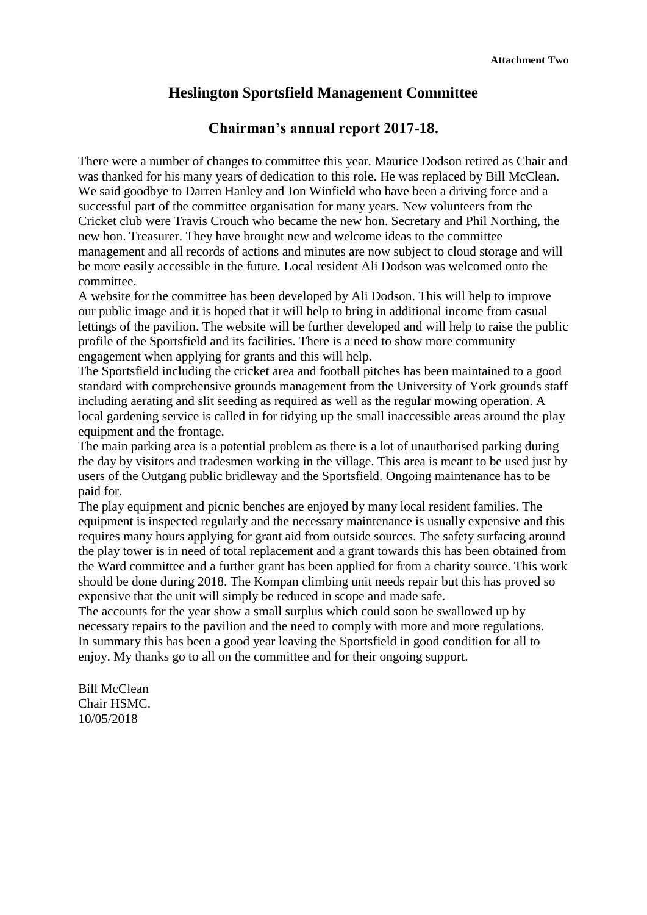## **Heslington Sportsfield Management Committee**

## **Chairman's annual report 2017-18.**

There were a number of changes to committee this year. Maurice Dodson retired as Chair and was thanked for his many years of dedication to this role. He was replaced by Bill McClean. We said goodbye to Darren Hanley and Jon Winfield who have been a driving force and a successful part of the committee organisation for many years. New volunteers from the Cricket club were Travis Crouch who became the new hon. Secretary and Phil Northing, the new hon. Treasurer. They have brought new and welcome ideas to the committee management and all records of actions and minutes are now subject to cloud storage and will be more easily accessible in the future. Local resident Ali Dodson was welcomed onto the committee.

A website for the committee has been developed by Ali Dodson. This will help to improve our public image and it is hoped that it will help to bring in additional income from casual lettings of the pavilion. The website will be further developed and will help to raise the public profile of the Sportsfield and its facilities. There is a need to show more community engagement when applying for grants and this will help.

The Sportsfield including the cricket area and football pitches has been maintained to a good standard with comprehensive grounds management from the University of York grounds staff including aerating and slit seeding as required as well as the regular mowing operation. A local gardening service is called in for tidying up the small inaccessible areas around the play equipment and the frontage.

The main parking area is a potential problem as there is a lot of unauthorised parking during the day by visitors and tradesmen working in the village. This area is meant to be used just by users of the Outgang public bridleway and the Sportsfield. Ongoing maintenance has to be paid for.

The play equipment and picnic benches are enjoyed by many local resident families. The equipment is inspected regularly and the necessary maintenance is usually expensive and this requires many hours applying for grant aid from outside sources. The safety surfacing around the play tower is in need of total replacement and a grant towards this has been obtained from the Ward committee and a further grant has been applied for from a charity source. This work should be done during 2018. The Kompan climbing unit needs repair but this has proved so expensive that the unit will simply be reduced in scope and made safe.

The accounts for the year show a small surplus which could soon be swallowed up by necessary repairs to the pavilion and the need to comply with more and more regulations. In summary this has been a good year leaving the Sportsfield in good condition for all to eniov. My thanks go to all on the committee and for their ongoing support.

Bill McClean Chair HSMC. 10/05/2018